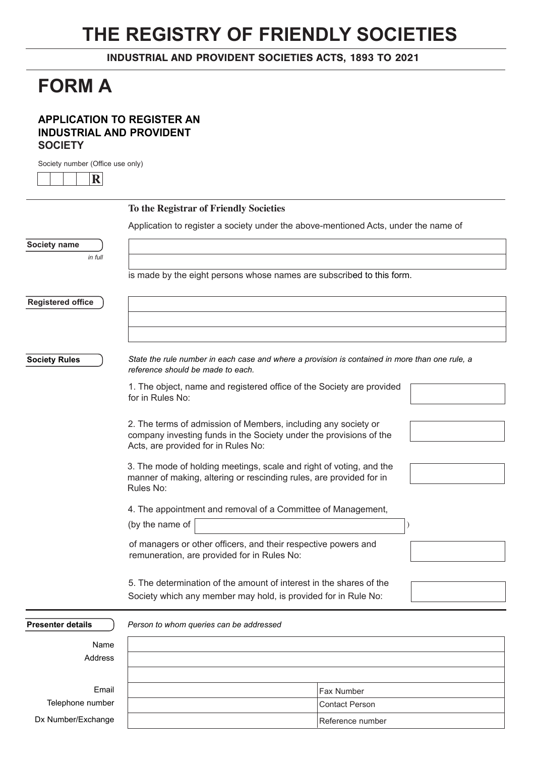# **THE REGISTRY OF FRIENDLY SOCIETIES**

INDUSTRIAL AND PROVIDENT SOCIETIES ACTS, 1893 TO 2021

## **FORM A**

## **APPLICATION TO REGISTER AN INDUSTRIAL AND PROVIDENT SOCIETY**

Society number (Office use only)

**R**

|                          | To the Registrar of Friendly Societies                                                                                                                                                                                                                 |                       |  |
|--------------------------|--------------------------------------------------------------------------------------------------------------------------------------------------------------------------------------------------------------------------------------------------------|-----------------------|--|
|                          | Application to register a society under the above-mentioned Acts, under the name of                                                                                                                                                                    |                       |  |
| Society name             |                                                                                                                                                                                                                                                        |                       |  |
| in full                  |                                                                                                                                                                                                                                                        |                       |  |
|                          | is made by the eight persons whose names are subscribed to this form.                                                                                                                                                                                  |                       |  |
| <b>Registered office</b> |                                                                                                                                                                                                                                                        |                       |  |
|                          |                                                                                                                                                                                                                                                        |                       |  |
|                          |                                                                                                                                                                                                                                                        |                       |  |
| <b>Society Rules</b>     | State the rule number in each case and where a provision is contained in more than one rule, a<br>reference should be made to each.                                                                                                                    |                       |  |
|                          | 1. The object, name and registered office of the Society are provided<br>for in Rules No:                                                                                                                                                              |                       |  |
|                          | 2. The terms of admission of Members, including any society or<br>company investing funds in the Society under the provisions of the<br>Acts, are provided for in Rules No:                                                                            |                       |  |
|                          | 3. The mode of holding meetings, scale and right of voting, and the<br>manner of making, altering or rescinding rules, are provided for in<br>Rules No:                                                                                                |                       |  |
|                          | 4. The appointment and removal of a Committee of Management,                                                                                                                                                                                           |                       |  |
|                          | (by the name of                                                                                                                                                                                                                                        |                       |  |
|                          | of managers or other officers, and their respective powers and<br>remuneration, are provided for in Rules No:<br>5. The determination of the amount of interest in the shares of the<br>Society which any member may hold, is provided for in Rule No: |                       |  |
|                          |                                                                                                                                                                                                                                                        |                       |  |
|                          |                                                                                                                                                                                                                                                        |                       |  |
| <b>Presenter details</b> | Person to whom queries can be addressed                                                                                                                                                                                                                |                       |  |
| Name                     |                                                                                                                                                                                                                                                        |                       |  |
| Address                  |                                                                                                                                                                                                                                                        |                       |  |
| Email                    |                                                                                                                                                                                                                                                        | Fax Number            |  |
| Telephone number         |                                                                                                                                                                                                                                                        | <b>Contact Person</b> |  |

Reference number

Dx Number/Exchange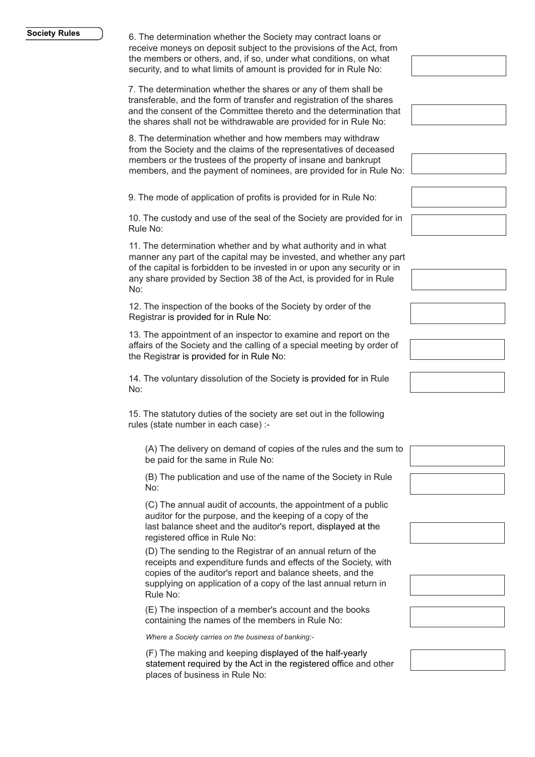#### **Society Rules**

6. The determination whether the Society may contract loans or receive moneys on deposit subject to the provisions of the Act, from the members or others, and, if so, under what conditions, on what security, and to what limits of amount is provided for in Rule No:

7. The determination whether the shares or any of them shall be transferable, and the form of transfer and registration of the shares and the consent of the Committee thereto and the determination that the shares shall not be withdrawable are provided for in Rule No:

8. The determination whether and how members may withdraw from the Society and the claims of the representatives of deceased members or the trustees of the property of insane and bankrupt members, and the payment of nominees, are provided for in Rule No:

9. The mode of application of profits is provided for in Rule No:

10. The custody and use of the seal of the Society are provided for in Rule No:

11. The determination whether and by what authority and in what manner any part of the capital may be invested, and whether any part of the capital is forbidden to be invested in or upon any security or in any share provided by Section 38 of the Act, is provided for in Rule No:

12. The inspection of the books of the Society by order of the Registrar is provided for in Rule No:

13. The appointment of an inspector to examine and report on the affairs of the Society and the calling of a special meeting by order of the Registrar is provided for in Rule No:

14. The voluntary dissolution of the Society is provided for in Rule No:

15. The statutory duties of the society are set out in the following rules (state number in each case) :-

(A) The delivery on demand of copies of the rules and the sum to be paid for the same in Rule No:

(B) The publication and use of the name of the Society in Rule No:

(C) The annual audit of accounts, the appointment of a public auditor for the purpose, and the keeping of a copy of the last balance sheet and the auditor's report, displayed at the registered office in Rule No:

(D) The sending to the Registrar of an annual return of the receipts and expenditure funds and effects of the Society, with copies of the auditor's report and balance sheets, and the supplying on application of a copy of the last annual return in Rule No:

(E) The inspection of a member's account and the books containing the names of the members in Rule No:

*Where a Society carries on the business of banking:-*

(F) The making and keeping displayed of the half-yearly statement required by the Act in the registered office and other places of business in Rule No: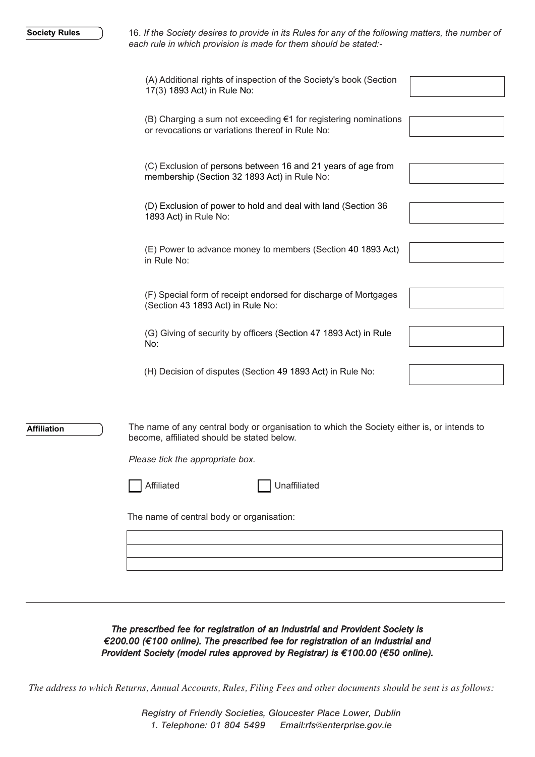16. *If the Society desires to provide in its Rules for any of the following matters, the number of each rule in which provision is made for them should be stated:-*

|                    | (A) Additional rights of inspection of the Society's book (Section<br>17(3) 1893 Act) in Rule No:                                                                                                                                                       |  |
|--------------------|---------------------------------------------------------------------------------------------------------------------------------------------------------------------------------------------------------------------------------------------------------|--|
|                    | (B) Charging a sum not exceeding $\epsilon$ 1 for registering nominations<br>or revocations or variations thereof in Rule No:                                                                                                                           |  |
|                    | (C) Exclusion of persons between 16 and 21 years of age from<br>membership (Section 32 1893 Act) in Rule No:                                                                                                                                            |  |
|                    | (D) Exclusion of power to hold and deal with land (Section 36<br>1893 Act) in Rule No:                                                                                                                                                                  |  |
|                    | (E) Power to advance money to members (Section 40 1893 Act)<br>in Rule No:                                                                                                                                                                              |  |
|                    | (F) Special form of receipt endorsed for discharge of Mortgages<br>(Section 43 1893 Act) in Rule No:                                                                                                                                                    |  |
|                    | (G) Giving of security by officers (Section 47 1893 Act) in Rule<br>No:                                                                                                                                                                                 |  |
|                    | (H) Decision of disputes (Section 49 1893 Act) in Rule No:                                                                                                                                                                                              |  |
| <b>Affiliation</b> | The name of any central body or organisation to which the Society either is, or intends to<br>become, affiliated should be stated below.<br>Please tick the appropriate box.<br>Unaffiliated<br>Affiliated<br>The name of central body or organisation: |  |
|                    |                                                                                                                                                                                                                                                         |  |

The prescribed fee for registration of an Industrial and Provident Society is €200.00 (€100 online). The prescribed fee for registration of an Industrial and Provident Society (model rules approved by Registrar) is €100.00 (€50 online).

*The address to which Returns, Annual Accounts, Rules, Filing Fees and other documents should be sent is as follows:*

Registry of Friendly Societies, Gloucester Place Lower, Dublin 1. Telephone: 01 804 5499 Email:rfs@enterprise.gov.ie